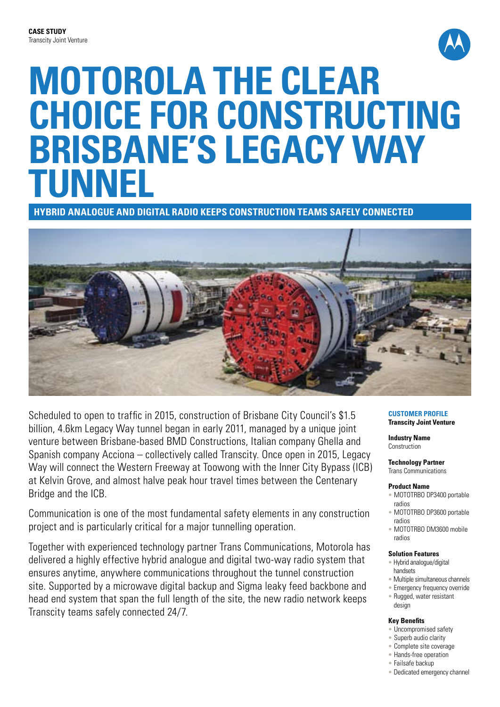

# **Motorola the clear choice for constructing Brisbane's Legacy Way tunnel**

**Hybrid analogue and digital radio keeps construction teams safely connected**



Scheduled to open to traffic in 2015, construction of Brisbane City Council's \$1.5 billion, 4.6km Legacy Way tunnel began in early 2011, managed by a unique joint venture between Brisbane-based BMD Constructions, Italian company Ghella and Spanish company Acciona – collectively called Transcity. Once open in 2015, Legacy Way will connect the Western Freeway at Toowong with the Inner City Bypass (ICB) at Kelvin Grove, and almost halve peak hour travel times between the Centenary Bridge and the ICB.

Communication is one of the most fundamental safety elements in any construction project and is particularly critical for a major tunnelling operation.

Together with experienced technology partner Trans Communications, Motorola has delivered a highly effective hybrid analogue and digital two-way radio system that ensures anytime, anywhere communications throughout the tunnel construction site. Supported by a microwave digital backup and Sigma leaky feed backbone and head end system that span the full length of the site, the new radio network keeps Transcity teams safely connected 24/7.

#### **Customer Profile Transcity Joint Venture**

**Industry Name Construction** 

# **Technology Partner**

Trans Communications

### **Product Name**

- MOTOTRBO DP3400 portable radios
- MOTOTRBO DP3600 portable radios
- MOTOTRBO DM3600 mobile radios

### **Solution Features**

- Hybrid analogue/digital handsets
- Multiple simultaneous channels
- Emergency frequency override • Rugged, water resistant design

### **Key Benefits**

- Uncompromised safety
- Superb audio clarity
- Complete site coverage
- Hands-free operation
- Failsafe backup
- Dedicated emergency channel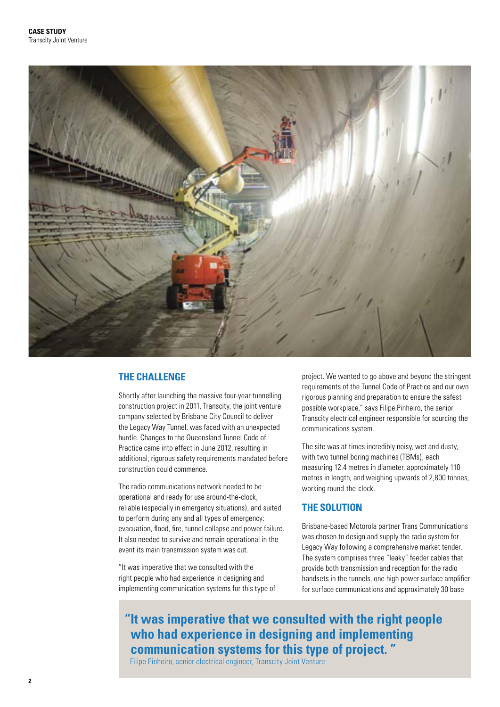

# **THE CHALLENGE**

Shortly after launching the massive four-year tunnelling construction project in 2011, Transcity, the joint venture company selected by Brisbane City Council to deliver the Legacy Way Tunnel, was faced with an unexpected hurdle. Changes to the Queensland Tunnel Code of Practice came into effect in June 2012, resulting in additional, rigorous safety requirements mandated before construction could commence.

The radio communications network needed to be operational and ready for use around-the-clock, reliable (especially in emergency situations), and suited to perform during any and all types of emergency: evacuation, flood, fire, tunnel collapse and power failure. It also needed to survive and remain operational in the event its main transmission system was cut.

"It was imperative that we consulted with the right people who had experience in designing and implementing communication systems for this type of project. We wanted to go above and beyond the stringent requirements of the Tunnel Code of Practice and our own rigorous planning and preparation to ensure the safest possible workplace," says Filipe Pinheiro, the senior Transcity electrical engineer responsible for sourcing the communications system.

The site was at times incredibly noisy, wet and dusty, with two tunnel boring machines (TBMs), each measuring 12.4 metres in diameter, approximately 110 metres in length, and weighing upwards of 2,800 tonnes, working round-the-clock.

# **THE SOLUTION**

Brisbane-based Motorola partner Trans Communications was chosen to design and supply the radio system for Legacy Way following a comprehensive market tender. The system comprises three "leaky" feeder cables that provide both transmission and reception for the radio handsets in the tunnels, one high power surface amplifier for surface communications and approximately 30 base

**" It was imperative that we consulted with the right people who had experience in designing and implementing communication systems for this type of project. "**

Filipe Pinheiro, senior electrical engineer, Transcity Joint Venture